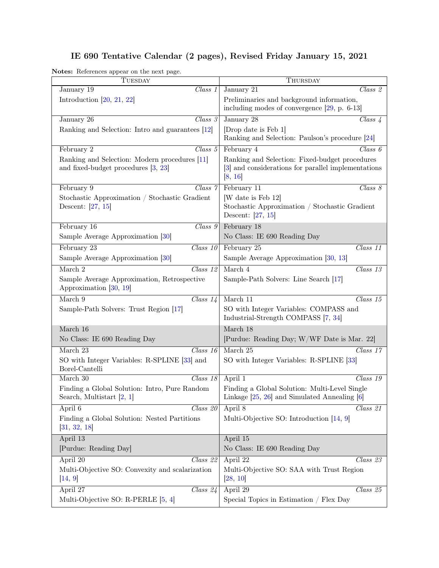## IE 690 Tentative Calendar (2 pages), Revised Friday January 15, 2021

Notes: References appear on the next page.

| rotes. Telefonces appear on the next page.<br>TUESDAY                                | THURSDAY                                                                                                         |
|--------------------------------------------------------------------------------------|------------------------------------------------------------------------------------------------------------------|
| January 19<br>Class 1                                                                | $\overline{Class}$ 2<br>January 21                                                                               |
| Introduction $[20, 21, 22]$                                                          | Preliminaries and background information,                                                                        |
|                                                                                      | including modes of convergence $[29, p. 6-13]$                                                                   |
| $\overline{Class}$ 3<br>January 26                                                   | January 28<br>$Class\ \mathcal{L}$                                                                               |
| Ranking and Selection: Intro and guarantees [12]                                     | [Drop date is Feb 1]                                                                                             |
|                                                                                      | Ranking and Selection: Paulson's procedure [24]                                                                  |
| $\overline{Class\ 5}$<br>February 2                                                  | Class 6<br>February 4                                                                                            |
| Ranking and Selection: Modern procedures [11]<br>and fixed-budget procedures [3, 23] | Ranking and Selection: Fixed-budget procedures<br>[3] and considerations for parallel implementations<br>[8, 16] |
| February 9<br>Class 7                                                                | February 11<br>$\overline{Class}\;8$                                                                             |
| Stochastic Approximation / Stochastic Gradient                                       | [W date is Feb 12]                                                                                               |
| Descent: $[27, 15]$                                                                  | Stochastic Approximation / Stochastic Gradient<br>Descent: [27, 15]                                              |
| $Class\ g$<br>February 16                                                            | February 18                                                                                                      |
| Sample Average Approximation [30]                                                    | No Class: IE 690 Reading Day                                                                                     |
| February 23<br>$\overline{Class~10}$                                                 | February 25<br>Class 11                                                                                          |
| Sample Average Approximation [30]                                                    | Sample Average Approximation [30, 13]                                                                            |
| March 2<br>$\overline{Class}$ 12                                                     | March 4<br>$\overline{Class}$ 13                                                                                 |
| Sample Average Approximation, Retrospective<br>Approximation [30, 19]                | Sample-Path Solvers: Line Search [17]                                                                            |
| March 9<br>$Class\ 14$                                                               | March $11$<br>$Class\ 15$                                                                                        |
| Sample-Path Solvers: Trust Region [17]                                               | SO with Integer Variables: COMPASS and<br>Industrial-Strength COMPASS [7, 34]                                    |
| March 16                                                                             | March 18                                                                                                         |
| No Class: IE 690 Reading Day                                                         | [Purdue: Reading Day; W/WF Date is Mar. 22]                                                                      |
| March $23$<br>Class 16                                                               | March 25<br>$\overline{Class~17}$                                                                                |
| SO with Integer Variables: R-SPLINE [33] and<br>Borel-Cantelli                       | SO with Integer Variables: R-SPLINE [33]                                                                         |
| March 30<br>Class 18                                                                 | April 1<br>$\overline{\text{Class}}$ 19                                                                          |
| Finding a Global Solution: Intro, Pure Random<br>Search, Multistart $[2, 1]$         | Finding a Global Solution: Multi-Level Single<br>Linkage $[25, 26]$ and Simulated Annealing $[6]$                |
| April 6<br>$Class\ \overline{20}$                                                    | April 8<br>Class 21                                                                                              |
| Finding a Global Solution: Nested Partitions<br>[31, 32, 18]                         | Multi-Objective SO: Introduction [14, 9]                                                                         |
| April 13                                                                             | April 15                                                                                                         |
| [Purdue: Reading Day]                                                                | No Class: IE 690 Reading Day                                                                                     |
| April 20<br>Class~22                                                                 | A <sub>pril</sub> 22<br>Class 23                                                                                 |
| Multi-Objective SO: Convexity and scalarization<br> 14, 9                            | Multi-Objective SO: SAA with Trust Region<br> 28, 10                                                             |
| April 27<br>Class 24                                                                 | April 29<br>Class 25                                                                                             |
| Multi-Objective SO: R-PERLE [5, 4]                                                   | Special Topics in Estimation / Flex Day                                                                          |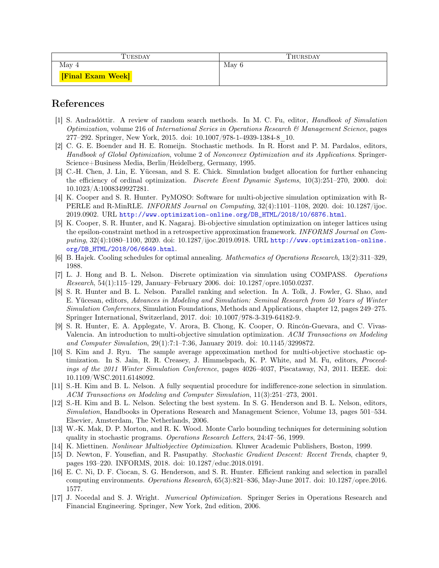| TUESDAY                | THURSDAY |
|------------------------|----------|
| May 4                  | May $6$  |
| <b>Final Exam Week</b> |          |

## References

- <span id="page-1-10"></span>[1] S. Andradóttir. A review of random search methods. In M. C. Fu, editor, *Handbook of Simulation* Optimization, volume 216 of International Series in Operations Research  $\mathcal{C}_{\ell}$  Management Science, pages 277–292. Springer, New York, 2015. doi: 10.1007/978-1-4939-1384-8\_10.
- <span id="page-1-9"></span>[2] C. G. E. Boender and H. E. Romeijn. Stochastic methods. In R. Horst and P. M. Pardalos, editors, Handbook of Global Optimization, volume 2 of Nonconvex Optimization and its Applications. Springer-Science+Business Media, Berlin/Heidelberg, Germany, 1995.
- <span id="page-1-2"></span>[3] C.-H. Chen, J. Lin, E. Yücesan, and S. E. Chick. Simulation budget allocation for further enhancing the efficiency of ordinal optimization. *Discrete Event Dynamic Systems*, 10(3):251–270, 2000. doi: 10.1023/A:1008349927281.
- <span id="page-1-16"></span>[4] K. Cooper and S. R. Hunter. PyMOSO: Software for multi-objective simulation optimization with R-PERLE and R-MinRLE. INFORMS Journal on Computing, 32(4):1101–1108, 2020. doi: 10.1287/ijoc. 2019.0902. URL [http://www.optimization-online.org/DB\\_HTML/2018/10/6876.html](http://www.optimization-online.org/DB_HTML/2018/10/6876.html).
- <span id="page-1-15"></span>[5] K. Cooper, S. R. Hunter, and K. Nagaraj. Bi-objective simulation optimization on integer lattices using the epsilon-constraint method in a retrospective approximation framework. INFORMS Journal on Computing, 32(4):1080–1100, 2020. doi: 10.1287/ijoc.2019.0918. URL [http://www.optimization-online.](http://www.optimization-online.org/DB_HTML/2018/06/6649.html) [org/DB\\_HTML/2018/06/6649.html](http://www.optimization-online.org/DB_HTML/2018/06/6649.html).
- <span id="page-1-11"></span>[6] B. Hajek. Cooling schedules for optimal annealing. Mathematics of Operations Research, 13(2):311–329, 1988.
- <span id="page-1-8"></span>[7] L. J. Hong and B. L. Nelson. Discrete optimization via simulation using COMPASS. Operations Research, 54(1):115–129, January–February 2006. doi: 10.1287/opre.1050.0237.
- <span id="page-1-3"></span>[8] S. R. Hunter and B. L. Nelson. Parallel ranking and selection. In A. Tolk, J. Fowler, G. Shao, and E. Yücesan, editors, Advances in Modeling and Simulation: Seminal Research from 50 Years of Winter Simulation Conferences, Simulation Foundations, Methods and Applications, chapter 12, pages 249–275. Springer International, Switzerland, 2017. doi: 10.1007/978-3-319-64182-9.
- <span id="page-1-13"></span>[9] S. R. Hunter, E. A. Applegate, V. Arora, B. Chong, K. Cooper, O. Rincón-Guevara, and C. Vivas-Valencia. An introduction to multi-objective simulation optimization. ACM Transactions on Modeling and Computer Simulation, 29(1):7:1–7:36, January 2019. doi: 10.1145/3299872.
- <span id="page-1-14"></span>[10] S. Kim and J. Ryu. The sample average approximation method for multi-objective stochastic optimization. In S. Jain, R. R. Creasey, J. Himmelspach, K. P. White, and M. Fu, editors, Proceedings of the 2011 Winter Simulation Conference, pages 4026–4037, Piscataway, NJ, 2011. IEEE. doi: 10.1109/WSC.2011.6148092.
- <span id="page-1-1"></span>[11] S.-H. Kim and B. L. Nelson. A fully sequential procedure for indifference-zone selection in simulation. ACM Transactions on Modeling and Computer Simulation, 11(3):251–273, 2001.
- <span id="page-1-0"></span>[12] S.-H. Kim and B. L. Nelson. Selecting the best system. In S. G. Henderson and B. L. Nelson, editors, Simulation, Handbooks in Operations Research and Management Science, Volume 13, pages 501–534. Elsevier, Amsterdam, The Netherlands, 2006.
- <span id="page-1-6"></span>[13] W.-K. Mak, D. P. Morton, and R. K. Wood. Monte Carlo bounding techniques for determining solution quality in stochastic programs. Operations Research Letters, 24:47–56, 1999.
- <span id="page-1-12"></span>[14] K. Miettinen. Nonlinear Multiobjective Optimization. Kluwer Academic Publishers, Boston, 1999.
- <span id="page-1-5"></span>[15] D. Newton, F. Yousefian, and R. Pasupathy. Stochastic Gradient Descent: Recent Trends, chapter 9, pages 193–220. INFORMS, 2018. doi: 10.1287/educ.2018.0191.
- <span id="page-1-4"></span>[16] E. C. Ni, D. F. Ciocan, S. G. Henderson, and S. R. Hunter. Efficient ranking and selection in parallel computing environments. Operations Research, 65(3):821–836, May-June 2017. doi: 10.1287/opre.2016. 1577.
- <span id="page-1-7"></span>[17] J. Nocedal and S. J. Wright. Numerical Optimization. Springer Series in Operations Research and Financial Engineering. Springer, New York, 2nd edition, 2006.